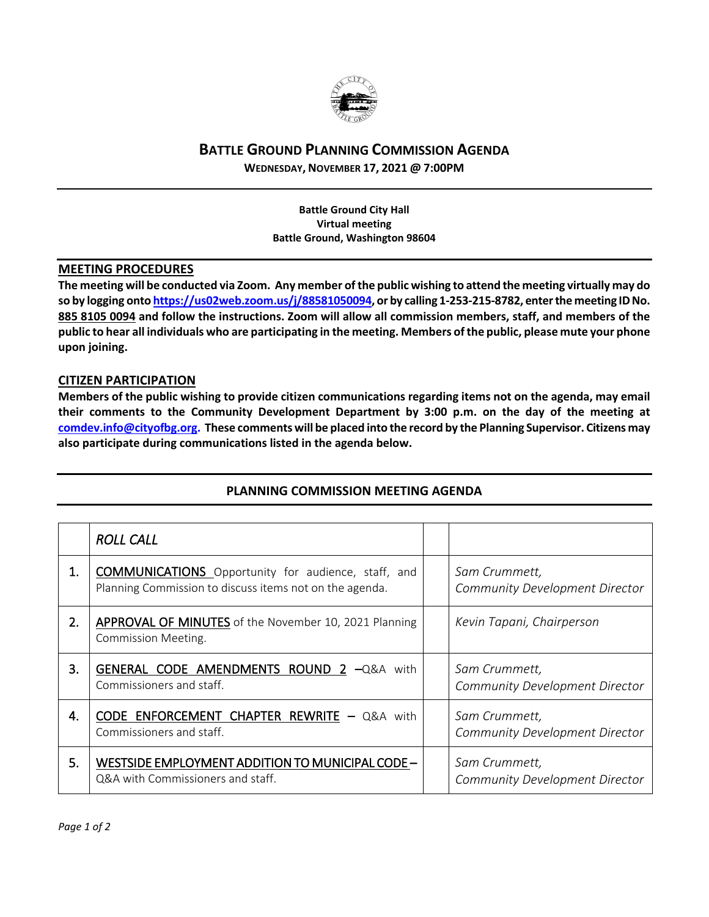

## **BATTLE GROUND PLANNING COMMISSION AGENDA**

**WEDNESDAY, NOVEMBER 17, 2021 @ 7:00PM**

**Battle Ground City Hall Virtual meeting Battle Ground, Washington 98604**

## **MEETING PROCEDURES**

**The meeting will be conducted via Zoom. Any member of the public wishing to attend the meeting virtually may do so by logging onto [https://us02web.zoom.us/j/88581050094,](https://us02web.zoom.us/j/88581050094) or by calling 1-253-215-8782, enter the meeting IDNo. 885 8105 0094 and follow the instructions. Zoom will allow all commission members, staff, and members of the public to hear all individuals who are participating in the meeting. Members of the public, please mute your phone upon joining.**

## **CITIZEN PARTICIPATION**

**Members of the public wishing to provide citizen communications regarding items not on the agenda, may email their comments to the Community Development Department by 3:00 p.m. on the day of the meeting at [comdev.info@cityofbg.org.](mailto:comdev.info@cityofbg.org) These comments will be placed into the record by the Planning Supervisor. Citizens may also participate during communications listed in the agenda below.** 

|    | <b>ROLL CALL</b>                                                                                                      |                                                        |
|----|-----------------------------------------------------------------------------------------------------------------------|--------------------------------------------------------|
| 1. | <b>COMMUNICATIONS</b> Opportunity for audience, staff, and<br>Planning Commission to discuss items not on the agenda. | Sam Crummett,<br>Community Development Director        |
| 2. | <b>APPROVAL OF MINUTES</b> of the November 10, 2021 Planning<br><b>Commission Meeting.</b>                            | Kevin Tapani, Chairperson                              |
| 3. | GENERAL CODE AMENDMENTS ROUND 2 -Q&A with<br>Commissioners and staff.                                                 | Sam Crummett,<br><b>Community Development Director</b> |
| 4. | CODE ENFORCEMENT CHAPTER REWRITE $-$ Q&A with<br>Commissioners and staff.                                             | Sam Crummett,<br>Community Development Director        |
| 5. | WESTSIDE EMPLOYMENT ADDITION TO MUNICIPAL CODE -<br>Q&A with Commissioners and staff.                                 | Sam Crummett,<br>Community Development Director        |

## **PLANNING COMMISSION MEETING AGENDA**